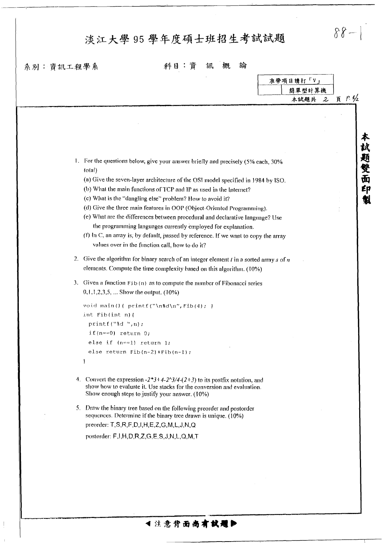## 淡江大學 95 學年度碩士班招生考試試題

系別:資訊工程學系

 $\mathbbm{1}$ 

科目:資訊概論

 $\delta \theta - \vert \Big[$ 

|                                                                                                                                                       | 准帶項目請打「V」<br>簡單型計算機 |                       |           |
|-------------------------------------------------------------------------------------------------------------------------------------------------------|---------------------|-----------------------|-----------|
|                                                                                                                                                       |                     |                       |           |
|                                                                                                                                                       |                     | 本試題共<br>$\mathcal{Z}$ | 頁 $P.4/2$ |
|                                                                                                                                                       |                     |                       |           |
|                                                                                                                                                       |                     |                       |           |
|                                                                                                                                                       |                     |                       |           |
|                                                                                                                                                       |                     |                       |           |
|                                                                                                                                                       |                     |                       |           |
|                                                                                                                                                       |                     |                       |           |
| 1. For the questions below, give your answer briefly and precisely (5% each, 30%<br>(otal)                                                            |                     |                       | 本科更雙面印    |
| (a) Give the seven-layer architecture of the OSI model specified in 1984 by ISO.                                                                      |                     |                       |           |
| (b) What the main functions of TCP and IP as used in the Internet?                                                                                    |                     |                       |           |
| (c) What is the "dangling else" problem? How to avoid it?                                                                                             |                     |                       |           |
| (d) Give the three main features in OOP (Object-Oriented Programming).                                                                                |                     |                       |           |
| (e) What are the differences between procedural and declarative language? Use                                                                         |                     |                       |           |
| the programming languages currently employed for explanation.                                                                                         |                     |                       |           |
| (f) In C, an array is, by default, passed by reference. If we want to copy the array                                                                  |                     |                       |           |
| values over in the function call, how to do it?                                                                                                       |                     |                       |           |
|                                                                                                                                                       |                     |                       |           |
| 2. Give the algorithm for binary search of an integer element $t$ in a sorted array $s$ of $n$                                                        |                     |                       |           |
| elements. Compute the time complexity based on this algorithm. (10%)                                                                                  |                     |                       |           |
| 3. Given a function Fib(n) as to compute the number of Fibonacci series                                                                               |                     |                       |           |
| $0,1,1,2,3,5,$ Show the output. $(10\%)$                                                                                                              |                     |                       |           |
|                                                                                                                                                       |                     |                       |           |
| void main()( printf("\n%d\n", Fib(4); )                                                                                                               |                     |                       |           |
| int $Fib(int n)$ {                                                                                                                                    |                     |                       |           |
| print(f("d", n);                                                                                                                                      |                     |                       |           |
| if( $n == 0$ ) return 0;                                                                                                                              |                     |                       |           |
| else if $(n == 1)$ return 1;                                                                                                                          |                     |                       |           |
| else return $Fib(n-2)+Fib(n-1);$                                                                                                                      |                     |                       |           |
|                                                                                                                                                       |                     |                       |           |
|                                                                                                                                                       |                     |                       |           |
| 4. Convert the expression $-2*3+4-2^3/4-(2+3)$ to its postfix notation, and<br>show how to evaluate it. Use stacks for the conversion and evaluation. |                     |                       |           |
| Show enough steps to justify your answer. (10%)                                                                                                       |                     |                       |           |
|                                                                                                                                                       |                     |                       |           |
| 5. Draw the binary tree based on the following preorder and postorder<br>sequences. Determine if the binary tree drawn is unique. (10%)               |                     |                       |           |
| preorder: T,S,R,F,D,I,H,E,Z,G,M,L,J,N,Q                                                                                                               |                     |                       |           |
|                                                                                                                                                       |                     |                       |           |
| postorder: F,I,H,D,R,Z,G,E,S,J,N,L,Q,M,T                                                                                                              |                     |                       |           |
|                                                                                                                                                       |                     |                       |           |
|                                                                                                                                                       |                     |                       |           |
|                                                                                                                                                       |                     |                       |           |
|                                                                                                                                                       |                     |                       |           |
|                                                                                                                                                       |                     |                       |           |
|                                                                                                                                                       |                     |                       |           |
|                                                                                                                                                       |                     |                       |           |

1注意背面尚有試題▶